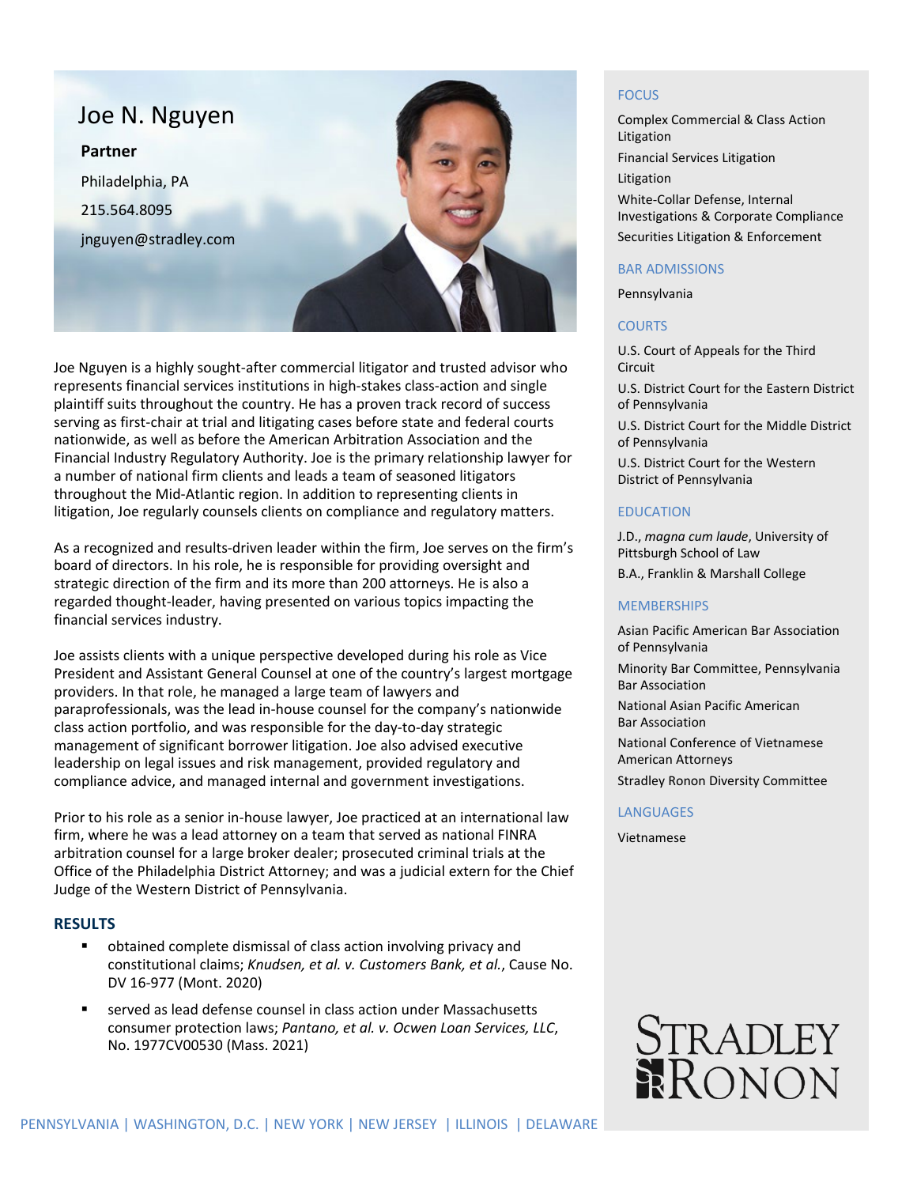

Joe Nguyen is a highly sought-after commercial litigator and trusted advisor who represents financial services institutions in high-stakes class-action and single plaintiff suits throughout the country. He has a proven track record of success serving as first-chair at trial and litigating cases before state and federal courts nationwide, as well as before the American Arbitration Association and the Financial Industry Regulatory Authority. Joe is the primary relationship lawyer for a number of national firm clients and leads a team of seasoned litigators throughout the Mid-Atlantic region. In addition to representing clients in litigation, Joe regularly counsels clients on compliance and regulatory matters.

As a recognized and results-driven leader within the firm, Joe serves on the firm's board of directors. In his role, he is responsible for providing oversight and strategic direction of the firm and its more than 200 attorneys. He is also a regarded thought-leader, having presented on various topics impacting the financial services industry.

Joe assists clients with a unique perspective developed during his role as Vice President and Assistant General Counsel at one of the country's largest mortgage providers. In that role, he managed a large team of lawyers and paraprofessionals, was the lead in-house counsel for the company's nationwide class action portfolio, and was responsible for the day-to-day strategic management of significant borrower litigation. Joe also advised executive leadership on legal issues and risk management, provided regulatory and compliance advice, and managed internal and government investigations.

Prior to his role as a senior in-house lawyer, Joe practiced at an international law firm, where he was a lead attorney on a team that served as national FINRA arbitration counsel for a large broker dealer; prosecuted criminal trials at the Office of the Philadelphia District Attorney; and was a judicial extern for the Chief Judge of the Western District of Pennsylvania.

## **RESULTS**

- obtained complete dismissal of class action involving privacy and constitutional claims; *Knudsen, et al. v. Customers Bank, et al.*, Cause No. DV 16-977 (Mont. 2020)
- served as lead defense counsel in class action under Massachusetts consumer protection laws; *Pantano, et al. v. Ocwen Loan Services, LLC*, No. 1977CV00530 (Mass. 2021)

### **FOCUS**

Complex Commercial & Class Action Litigation Financial Services Litigation Litigation White-Collar Defense, Internal Investigations & Corporate Compliance Securities Litigation & Enforcement

#### BAR ADMISSIONS

Pennsylvania

### COURTS

U.S. Court of Appeals for the Third Circuit

U.S. District Court for the Eastern District of Pennsylvania

U.S. District Court for the Middle District of Pennsylvania

U.S. District Court for the Western District of Pennsylvania

### EDUCATION

J.D., *magna cum laude*, University of Pittsburgh School of Law B.A., Franklin & Marshall College

### **MEMBERSHIPS**

Asian Pacific American Bar Association of Pennsylvania Minority Bar Committee, Pennsylvania Bar Association National Asian Pacific American Bar Association National Conference of Vietnamese American Attorneys Stradley Ronon Diversity Committee

### LANGUAGES

Vietnamese

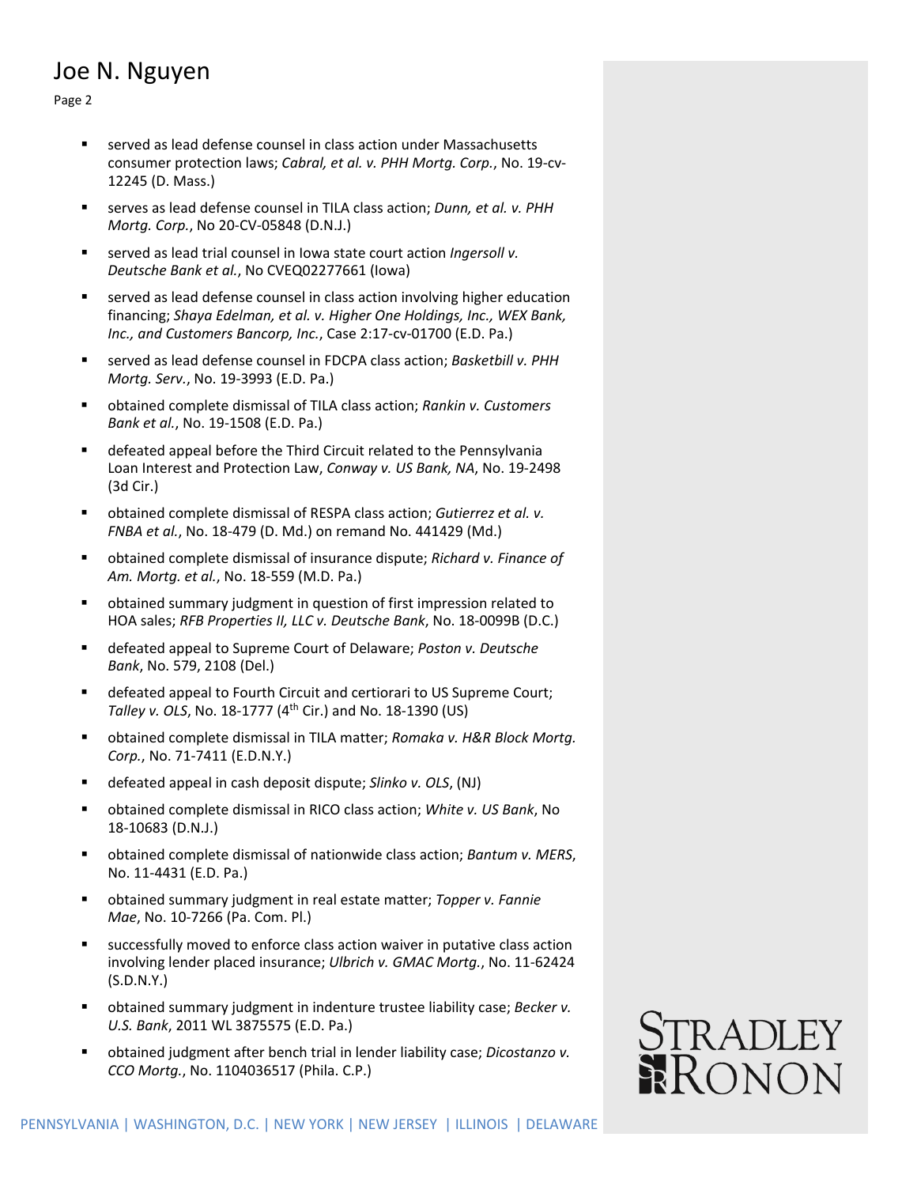## Joe N. Nguyen

Page 2

- served as lead defense counsel in class action under Massachusetts consumer protection laws; *Cabral, et al. v. PHH Mortg. Corp.*, No. 19-cv-12245 (D. Mass.)
- serves as lead defense counsel in TILA class action; *Dunn, et al. v. PHH Mortg. Corp.*, No 20-CV-05848 (D.N.J.)
- served as lead trial counsel in Iowa state court action *Ingersoll v. Deutsche Bank et al.*, No CVEQ02277661 (Iowa)
- served as lead defense counsel in class action involving higher education financing; *Shaya Edelman, et al. v. Higher One Holdings, Inc., WEX Bank, Inc., and Customers Bancorp, Inc.*, Case 2:17-cv-01700 (E.D. Pa.)
- served as lead defense counsel in FDCPA class action; *Basketbill v. PHH Mortg. Serv.*, No. 19-3993 (E.D. Pa.)
- obtained complete dismissal of TILA class action; *Rankin v. Customers Bank et al.*, No. 19-1508 (E.D. Pa.)
- defeated appeal before the Third Circuit related to the Pennsylvania Loan Interest and Protection Law, *Conway v. US Bank, NA*, No. 19-2498 (3d Cir.)
- obtained complete dismissal of RESPA class action; *Gutierrez et al. v. FNBA et al.*, No. 18-479 (D. Md.) on remand No. 441429 (Md.)
- obtained complete dismissal of insurance dispute; *Richard v. Finance of Am. Mortg. et al.*, No. 18-559 (M.D. Pa.)
- obtained summary judgment in question of first impression related to HOA sales; *RFB Properties II, LLC v. Deutsche Bank*, No. 18-0099B (D.C.)
- defeated appeal to Supreme Court of Delaware; *Poston v. Deutsche Bank*, No. 579, 2108 (Del.)
- defeated appeal to Fourth Circuit and certiorari to US Supreme Court; *Talley v. OLS*, No. 18-1777 (4th Cir.) and No. 18-1390 (US)
- obtained complete dismissal in TILA matter; *Romaka v. H&R Block Mortg. Corp.*, No. 71-7411 (E.D.N.Y.)
- defeated appeal in cash deposit dispute; *Slinko v. OLS*, (NJ)
- obtained complete dismissal in RICO class action; *White v. US Bank*, No 18-10683 (D.N.J.)
- obtained complete dismissal of nationwide class action; *Bantum v. MERS*, No. 11-4431 (E.D. Pa.)
- obtained summary judgment in real estate matter; *Topper v. Fannie Mae*, No. 10-7266 (Pa. Com. Pl.)
- successfully moved to enforce class action waiver in putative class action involving lender placed insurance; *Ulbrich v. GMAC Mortg.*, No. 11-62424 (S.D.N.Y.)
- obtained summary judgment in indenture trustee liability case; *Becker v. U.S. Bank*, 2011 WL 3875575 (E.D. Pa.)
- obtained judgment after bench trial in lender liability case; *Dicostanzo v. CCO Mortg.*, No. 1104036517 (Phila. C.P.)

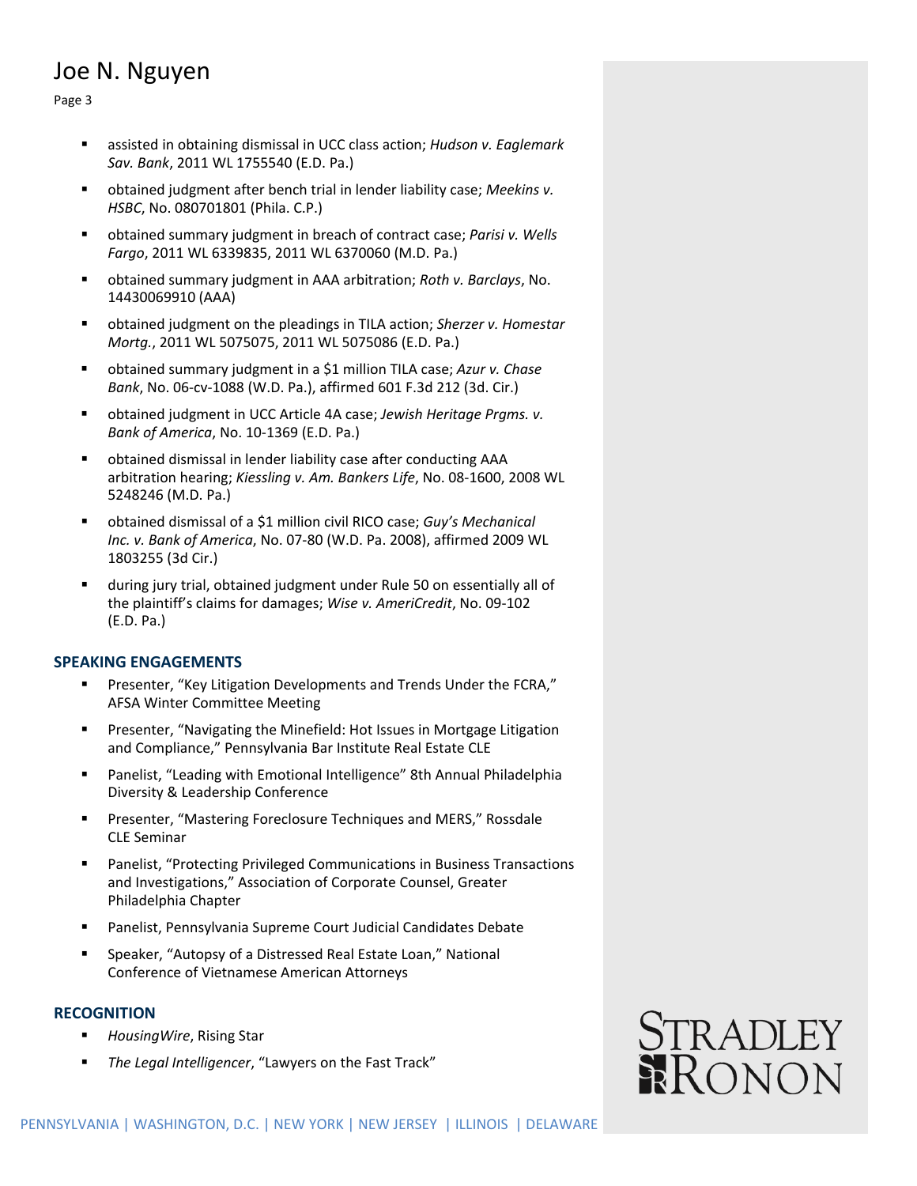# Joe N. Nguyen

Page 3

- assisted in obtaining dismissal in UCC class action; *Hudson v. Eaglemark Sav. Bank*, 2011 WL 1755540 (E.D. Pa.)
- obtained judgment after bench trial in lender liability case; *Meekins v. HSBC*, No. 080701801 (Phila. C.P.)
- obtained summary judgment in breach of contract case; *Parisi v. Wells Fargo*, 2011 WL 6339835, 2011 WL 6370060 (M.D. Pa.)
- obtained summary judgment in AAA arbitration; *Roth v. Barclays*, No. 14430069910 (AAA)
- obtained judgment on the pleadings in TILA action; *Sherzer v. Homestar Mortg.*, 2011 WL 5075075, 2011 WL 5075086 (E.D. Pa.)
- obtained summary judgment in a \$1 million TILA case; *Azur v. Chase Bank*, No. 06-cv-1088 (W.D. Pa.), affirmed 601 F.3d 212 (3d. Cir.)
- obtained judgment in UCC Article 4A case; *Jewish Heritage Prgms. v. Bank of America*, No. 10-1369 (E.D. Pa.)
- obtained dismissal in lender liability case after conducting AAA arbitration hearing; *Kiessling v. Am. Bankers Life*, No. 08-1600, 2008 WL 5248246 (M.D. Pa.)
- obtained dismissal of a \$1 million civil RICO case; *Guy's Mechanical Inc. v. Bank of America*, No. 07-80 (W.D. Pa. 2008), affirmed 2009 WL 1803255 (3d Cir.)
- during jury trial, obtained judgment under Rule 50 on essentially all of the plaintiff's claims for damages; *Wise v. AmeriCredit*, No. 09-102 (E.D. Pa.)

## **SPEAKING ENGAGEMENTS**

- Presenter, "Key Litigation Developments and Trends Under the FCRA," AFSA Winter Committee Meeting
- **Presenter, "Navigating the Minefield: Hot Issues in Mortgage Litigation** and Compliance," Pennsylvania Bar Institute Real Estate CLE
- Panelist, "Leading with Emotional Intelligence" 8th Annual Philadelphia Diversity & Leadership Conference
- Presenter, "Mastering Foreclosure Techniques and MERS," Rossdale CLE Seminar
- Panelist, "Protecting Privileged Communications in Business Transactions and Investigations," Association of Corporate Counsel, Greater Philadelphia Chapter
- Panelist, Pennsylvania Supreme Court Judicial Candidates Debate
- Speaker, "Autopsy of a Distressed Real Estate Loan," National Conference of Vietnamese American Attorneys

## **RECOGNITION**

- *HousingWire*, Rising Star
- *The Legal Intelligencer*, "Lawyers on the Fast Track"